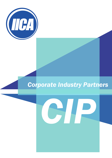

# *Corporate Industry Partners*

*CIP*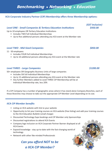**Benchmarking • Networking • Education**

### **IICA Corporate Industry Partner (CIP) Membership offers three Membership options:**

### *Level ONE - Small Companies & Tertiary Education Institutions \$450.00*

Up to 10 employees OR Tertiary Education Institutions

- Includes TWO full Individual Memberships
- Up to five additional persons attending any IICA event at the Member rate

### *Level TWO - Mid Sized Companies*

11 - 50 employees

- Includes FOUR full Individual Memberships
- Up to 10 additional persons attending any IICA event at the Member rate

### *Level THREE - Large Companies*

50+ employees OR Geographic Business Units of large companies

- Includes SIX full Individual Memberships
- Up to 15 additional persons attending any IICA event at the Member rate
- Any further Members added to Level THREE CIP Membership will be at Individual Membership rate, less 20%

If a CIP Company has a number of geographic areas where it has stand alone Company Branches, each of those Branches may choose to take out the appropriate CIP Member Level depending on its size.

### *IICA CIP Member benefits*

- Listing on IICA website with link to your website
- Opportunity to list your training courses on IICA website (free listing) and add your training courses to the IICA Education Bulletin (small charge)
- Discounted Technology Expo bookings and CIP Member only Sponsorships
- Discounted registrations to attend IICA Events
- Company logo inclusion on IICA Corporate Partner Banner displayed at all IICA Events
- Expand knowledge stay up-to-date with the fast-changing world of technology
- Network with other like-minded Professionals

### *Can you afford NOT to be a IICA CIP Member?*



*\$1200.00* 

*\$850.00* 

*(GST Inclusive)*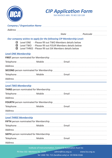



|                               | Company / Organisation Name <b>Company / Organisation</b> Name <b>Company / Organisation</b>                                                                                             |  |  |  |  |  |
|-------------------------------|------------------------------------------------------------------------------------------------------------------------------------------------------------------------------------------|--|--|--|--|--|
|                               |                                                                                                                                                                                          |  |  |  |  |  |
|                               | Our company wishes to apply for the following CIP Membership Level:                                                                                                                      |  |  |  |  |  |
| О                             | $\Box$ Level ONE - Please fill out TWO Members details below<br>Level TWO - Please fill out FOUR Members details below<br>$\Box$ Level THREE - Please fill out SIX Members details below |  |  |  |  |  |
| <b>Level ONE Membership</b>   |                                                                                                                                                                                          |  |  |  |  |  |
|                               |                                                                                                                                                                                          |  |  |  |  |  |
|                               |                                                                                                                                                                                          |  |  |  |  |  |
|                               |                                                                                                                                                                                          |  |  |  |  |  |
|                               |                                                                                                                                                                                          |  |  |  |  |  |
|                               |                                                                                                                                                                                          |  |  |  |  |  |
|                               |                                                                                                                                                                                          |  |  |  |  |  |
| <b>Level TWO Membership</b>   |                                                                                                                                                                                          |  |  |  |  |  |
|                               |                                                                                                                                                                                          |  |  |  |  |  |
|                               |                                                                                                                                                                                          |  |  |  |  |  |
|                               |                                                                                                                                                                                          |  |  |  |  |  |
|                               |                                                                                                                                                                                          |  |  |  |  |  |
|                               |                                                                                                                                                                                          |  |  |  |  |  |
|                               |                                                                                                                                                                                          |  |  |  |  |  |
| <b>Level THREE Membership</b> |                                                                                                                                                                                          |  |  |  |  |  |
|                               |                                                                                                                                                                                          |  |  |  |  |  |
|                               |                                                                                                                                                                                          |  |  |  |  |  |
|                               |                                                                                                                                                                                          |  |  |  |  |  |

**SIXTH** person nominated for Membership Telephone Mobile Email Address

Institute of Instrumentation, Control & Automation Aust Inc

PO Box 332 Mentone Vic 3194 admin@iica.org.au www.iica.org.au Tel 1300 781 715 (landline only) or 03 9036 0166